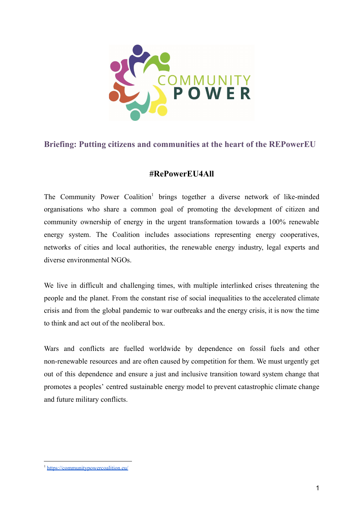

# **Briefing: Putting citizens and communities at the heart of the REPowerEU**

## **#RePowerEU4All**

The Community Power Coalition<sup>1</sup> brings together a diverse network of like-minded organisations who share a common goal of promoting the development of citizen and community ownership of energy in the urgent transformation towards a 100% renewable energy system. The Coalition includes associations representing energy cooperatives, networks of cities and local authorities, the renewable energy industry, legal experts and diverse environmental NGOs.

We live in difficult and challenging times, with multiple interlinked crises threatening the people and the planet. From the constant rise of social inequalities to the accelerated climate crisis and from the global pandemic to war outbreaks and the energy crisis, it is now the time to think and act out of the neoliberal box.

Wars and conflicts are fuelled worldwide by dependence on fossil fuels and other non-renewable resources and are often caused by competition for them. We must urgently get out of this dependence and ensure a just and inclusive transition toward system change that promotes a peoples' centred sustainable energy model to prevent catastrophic climate change and future military conflicts.

<sup>1</sup> <https://communitypowercoalition.eu/>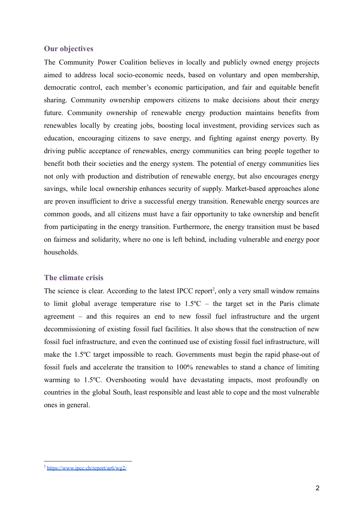#### **Our objectives**

The Community Power Coalition believes in locally and publicly owned energy projects aimed to address local socio-economic needs, based on voluntary and open membership, democratic control, each member's economic participation, and fair and equitable benefit sharing. Community ownership empowers citizens to make decisions about their energy future. Community ownership of renewable energy production maintains benefits from renewables locally by creating jobs, boosting local investment, providing services such as education, encouraging citizens to save energy, and fighting against energy poverty. By driving public acceptance of renewables, energy communities can bring people together to benefit both their societies and the energy system. The potential of energy communities lies not only with production and distribution of renewable energy, but also encourages energy savings, while local ownership enhances security of supply. Market-based approaches alone are proven insufficient to drive a successful energy transition. Renewable energy sources are common goods, and all citizens must have a fair opportunity to take ownership and benefit from participating in the energy transition. Furthermore, the energy transition must be based on fairness and solidarity, where no one is left behind, including vulnerable and energy poor households.

#### **The climate crisis**

The science is clear. According to the latest IPCC report<sup>2</sup>, only a very small window remains to limit global average temperature rise to  $1.5^{\circ}$ C – the target set in the Paris climate agreement – and this requires an end to new fossil fuel infrastructure and the urgent decommissioning of existing fossil fuel facilities. It also shows that the construction of new fossil fuel infrastructure, and even the continued use of existing fossil fuel infrastructure, will make the 1.5ºC target impossible to reach. Governments must begin the rapid phase-out of fossil fuels and accelerate the transition to 100% renewables to stand a chance of limiting warming to 1.5ºC. Overshooting would have devastating impacts, most profoundly on countries in the global South, least responsible and least able to cope and the most vulnerable ones in general.

<sup>2</sup> <https://www.ipcc.ch/report/ar6/wg2/>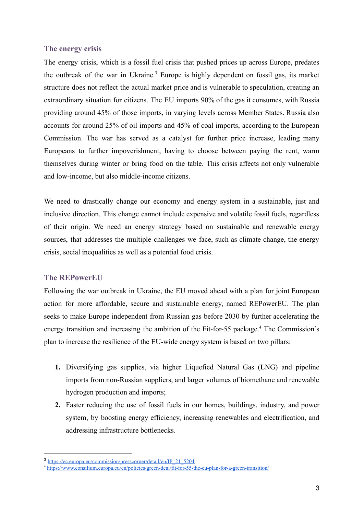### **The energy crisis**

The energy crisis, which is a fossil fuel crisis that pushed prices up across Europe, predates the outbreak of the war in Ukraine.<sup>3</sup> Europe is highly dependent on fossil gas, its market structure does not reflect the actual market price and is vulnerable to speculation, creating an extraordinary situation for citizens. The EU imports 90% of the gas it consumes, with Russia providing around 45% of those imports, in varying levels across Member States. Russia also accounts for around 25% of oil imports and 45% of coal imports, according to the European Commission. The war has served as a catalyst for further price increase, leading many Europeans to further impoverishment, having to choose between paying the rent, warm themselves during winter or bring food on the table. This crisis affects not only vulnerable and low-income, but also middle-income citizens.

We need to drastically change our economy and energy system in a sustainable, just and inclusive direction. This change cannot include expensive and volatile fossil fuels, regardless of their origin. We need an energy strategy based on sustainable and renewable energy sources, that addresses the multiple challenges we face, such as climate change, the energy crisis, social inequalities as well as a potential food crisis.

### **The REPowerEU**

Following the war outbreak in Ukraine, the EU moved ahead with a plan for joint European action for more affordable, secure and sustainable energy, named REPowerEU. The plan seeks to make Europe independent from Russian gas before 2030 by further accelerating the energy transition and increasing the ambition of the Fit-for-55 package.<sup>4</sup> The Commission's plan to increase the resilience of the EU-wide energy system is based on two pillars:

- **1.** Diversifying gas supplies, via higher Liquefied Natural Gas (LNG) and pipeline imports from non-Russian suppliers, and larger volumes of biomethane and renewable hydrogen production and imports;
- **2.** Faster reducing the use of fossil fuels in our homes, buildings, industry, and power system, by boosting energy efficiency, increasing renewables and electrification, and addressing infrastructure bottlenecks.

<sup>3</sup> [https://ec.europa.eu/commission/presscorner/detail/en/IP\\_21\\_5204](https://ec.europa.eu/commission/presscorner/detail/en/IP_21_5204)

<sup>4</sup> <https://www.consilium.europa.eu/en/policies/green-deal/fit-for-55-the-eu-plan-for-a-green-transition/>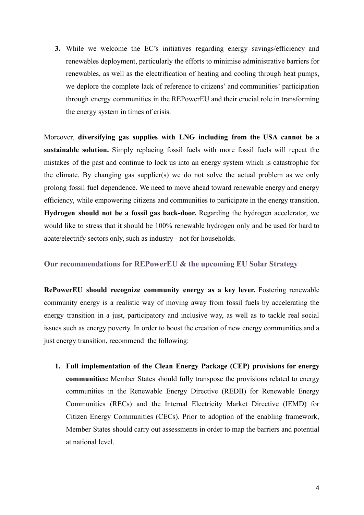**3.** While we welcome the EC's initiatives regarding energy savings/efficiency and renewables deployment, particularly the efforts to minimise administrative barriers for renewables, as well as the electrification of heating and cooling through heat pumps, we deplore the complete lack of reference to citizens' and communities' participation through energy communities in the REPowerEU and their crucial role in transforming the energy system in times of crisis.

Moreover, **diversifying gas supplies with LNG including from the USA cannot be a sustainable solution.** Simply replacing fossil fuels with more fossil fuels will repeat the mistakes of the past and continue to lock us into an energy system which is catastrophic for the climate. By changing gas supplier(s) we do not solve the actual problem as we only prolong fossil fuel dependence. We need to move ahead toward renewable energy and energy efficiency, while empowering citizens and communities to participate in the energy transition. **Hydrogen should not be a fossil gas back-door.** Regarding the hydrogen accelerator, we would like to stress that it should be 100% renewable hydrogen only and be used for hard to abate/electrify sectors only, such as industry - not for households.

### **Our recommendations for REPowerEU & the upcoming EU Solar Strategy**

**RePowerEU should recognize community energy as a key lever.** Fostering renewable community energy is a realistic way of moving away from fossil fuels by accelerating the energy transition in a just, participatory and inclusive way, as well as to tackle real social issues such as energy poverty. In order to boost the creation of new energy communities and a just energy transition, recommend the following:

**1. Full implementation of the Clean Energy Package (CEP) provisions for energy communities:** Member States should fully transpose the provisions related to energy communities in the Renewable Energy Directive (REDII) for Renewable Energy Communities (RECs) and the Internal Electricity Market Directive (IEMD) for Citizen Energy Communities (CECs). Prior to adoption of the enabling framework, Member States should carry out assessments in order to map the barriers and potential at national level.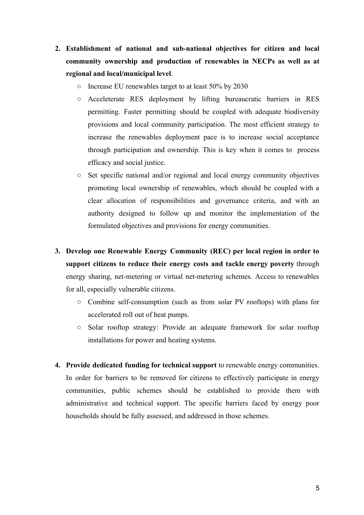- **2. Establishment of national and sub-national objectives for citizen and local community ownership and production of renewables in NECPs as well as at regional and local/municipal level**.
	- Increase EU renewables target to at least 50% by 2030
	- Acceleterate RES deployment by lifting bureaucratic barriers in RES permitting. Faster permitting should be coupled with adequate biodiversity provisions and local community participation. The most efficient strategy to increase the renewables deployment pace is to increase social acceptance through participation and ownership. This is key when it comes to process efficacy and social justice.
	- Set specific national and/or regional and local energy community objectives promoting local ownership of renewables, which should be coupled with a clear allocation of responsibilities and governance criteria, and with an authority designed to follow up and monitor the implementation of the formulated objectives and provisions for energy communities.
- **3. Develop one Renewable Energy Community (REC) per local region in order to support citizens to reduce their energy costs and tackle energy poverty** through energy sharing, net-metering or virtual net-metering schemes. Access to renewables for all, especially vulnerable citizens.
	- Combine self-consumption (such as from solar PV rooftops) with plans for accelerated roll out of heat pumps.
	- Solar rooftop strategy: Provide an adequate framework for solar rooftop installations for power and heating systems.
- **4. Provide dedicated funding for technical support** to renewable energy communities. In order for barriers to be removed for citizens to effectively participate in energy communities, public schemes should be established to provide them with administrative and technical support. The specific barriers faced by energy poor households should be fully assessed, and addressed in those schemes.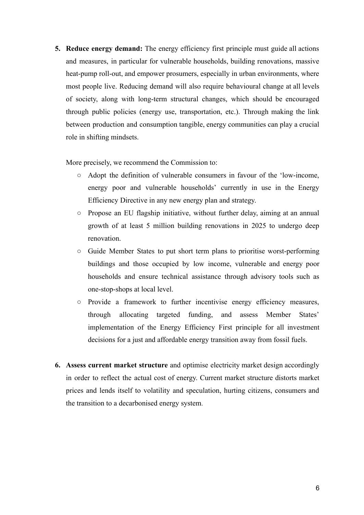**5. Reduce energy demand:** The energy efficiency first principle must guide all actions and measures, in particular for vulnerable households, building renovations, massive heat-pump roll-out, and empower prosumers, especially in urban environments, where most people live. Reducing demand will also require behavioural change at all levels of society, along with long-term structural changes, which should be encouraged through public policies (energy use, transportation, etc.). Through making the link between production and consumption tangible, energy communities can play a crucial role in shifting mindsets.

More precisely, we recommend the Commission to:

- Adopt the definition of vulnerable consumers in favour of the 'low-income, energy poor and vulnerable households' currently in use in the Energy Efficiency Directive in any new energy plan and strategy.
- Propose an EU flagship initiative, without further delay, aiming at an annual growth of at least 5 million building renovations in 2025 to undergo deep renovation.
- Guide Member States to put short term plans to prioritise worst-performing buildings and those occupied by low income, vulnerable and energy poor households and ensure technical assistance through advisory tools such as one-stop-shops at local level.
- Provide a framework to further incentivise energy efficiency measures, through allocating targeted funding, and assess Member States' implementation of the Energy Efficiency First principle for all investment decisions for a just and affordable energy transition away from fossil fuels.
- **6. Assess current market structure** and optimise electricity market design accordingly in order to reflect the actual cost of energy. Current market structure distorts market prices and lends itself to volatility and speculation, hurting citizens, consumers and the transition to a decarbonised energy system.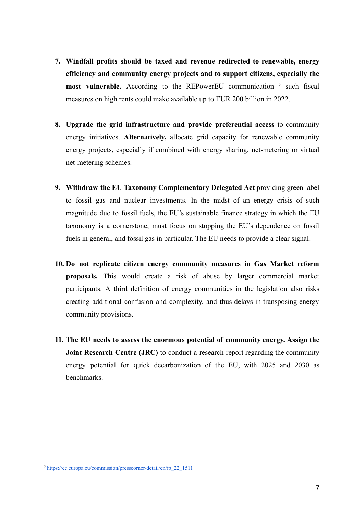- **7. Windfall profits should be taxed and revenue redirected to renewable, energy efficiency and community energy projects and to support citizens, especially the most vulnerable.** According to the REPowerEU communication <sup>5</sup> such fiscal measures on high rents could make available up to EUR 200 billion in 2022.
- **8. Upgrade the grid infrastructure and provide preferential access** to community energy initiatives. **Alternatively,** allocate grid capacity for renewable community energy projects, especially if combined with energy sharing, net-metering or virtual net-metering schemes.
- **9. Withdraw the EU Taxonomy Complementary Delegated Act** providing green label to fossil gas and nuclear investments. In the midst of an energy crisis of such magnitude due to fossil fuels, the EU's sustainable finance strategy in which the EU taxonomy is a cornerstone, must focus on stopping the EU's dependence on fossil fuels in general, and fossil gas in particular. The EU needs to provide a clear signal.
- **10. Do not replicate citizen energy community measures in Gas Market reform proposals.** This would create a risk of abuse by larger commercial market participants. A third definition of energy communities in the legislation also risks creating additional confusion and complexity, and thus delays in transposing energy community provisions.
- **11. The EU needs to assess the enormous potential of community energy. Assign the Joint Research Centre (JRC)** to conduct a research report regarding the community energy potential for quick decarbonization of the EU, with 2025 and 2030 as benchmarks.

<sup>5</sup> [https://ec.europa.eu/commission/presscorner/detail/en/ip\\_22\\_1511](https://ec.europa.eu/commission/presscorner/detail/en/ip_22_1511)